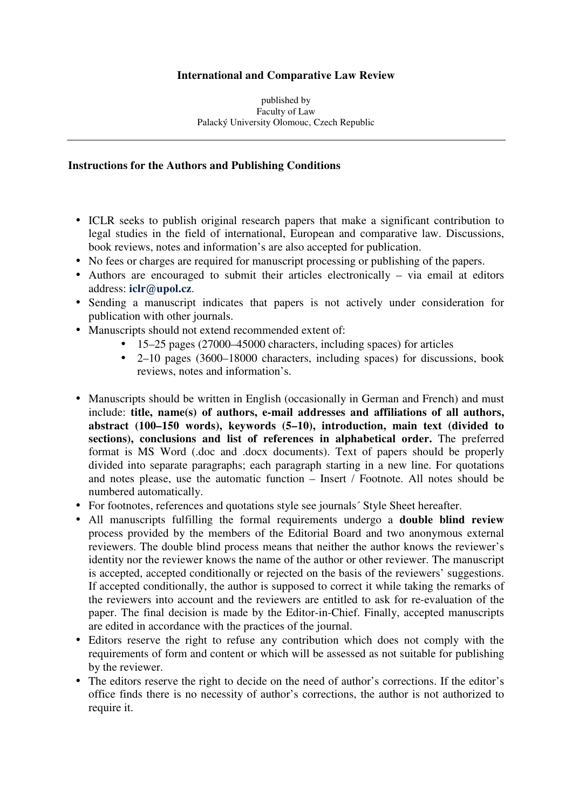# **International and Comparative Law Review**

#### published by Faculty of Law Palacký University Olomouc, Czech Republic

### **Instructions for the Authors and Publishing Conditions**

- ICLR seeks to publish original research papers that make a significant contribution to legal studies in the field of international, European and comparative law. Discussions, book reviews, notes and information's are also accepted for publication.
- No fees or charges are required for manuscript processing or publishing of the papers.
- Authors are encouraged to submit their articles electronically via email at editors address: **iclr@upol.cz**.
- Sending a manuscript indicates that papers is not actively under consideration for publication with other journals.
- Manuscripts should not extend recommended extent of:
	- 15–25 pages (27000–45000 characters, including spaces) for articles
	- 2–10 pages (3600–18000 characters, including spaces) for discussions, book reviews, notes and information's.
- Manuscripts should be written in English (occasionally in German and French) and must include: **title, name(s) of authors, e-mail addresses and affiliations of all authors, abstract (100–150 words), keywords (5–10), introduction, main text (divided to sections), conclusions and list of references in alphabetical order.** The preferred format is MS Word (.doc and .docx documents). Text of papers should be properly divided into separate paragraphs; each paragraph starting in a new line. For quotations and notes please, use the automatic function – Insert / Footnote. All notes should be numbered automatically.
- For footnotes, references and quotations style see journals' Style Sheet hereafter.
- All manuscripts fulfilling the formal requirements undergo a **double blind review** process provided by the members of the Editorial Board and two anonymous external reviewers. The double blind process means that neither the author knows the reviewer's identity nor the reviewer knows the name of the author or other reviewer. The manuscript is accepted, accepted conditionally or rejected on the basis of the reviewers' suggestions. If accepted conditionally, the author is supposed to correct it while taking the remarks of the reviewers into account and the reviewers are entitled to ask for re-evaluation of the paper. The final decision is made by the Editor-in-Chief. Finally, accepted manuscripts are edited in accordance with the practices of the journal.
- Editors reserve the right to refuse any contribution which does not comply with the requirements of form and content or which will be assessed as not suitable for publishing by the reviewer.
- The editors reserve the right to decide on the need of author's corrections. If the editor's office finds there is no necessity of author's corrections, the author is not authorized to require it.